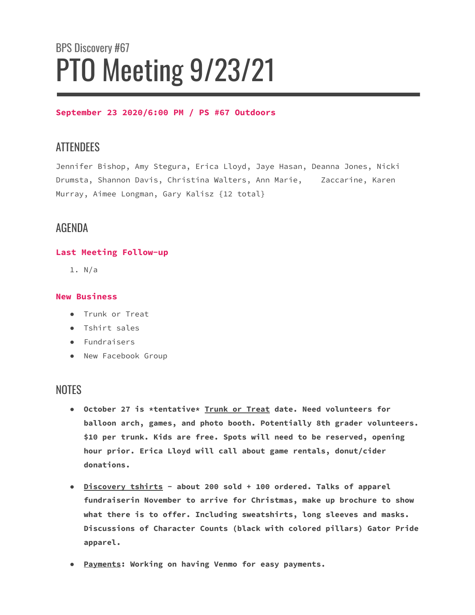# BPS Discovery #67 PTO Meeting 9/23/21

#### **September 23 2020/6:00 PM / PS #67 Outdoors**

## **ATTENDEES**

Jennifer Bishop, Amy Stegura, Erica Lloyd, Jaye Hasan, Deanna Jones, Nicki Drumsta, Shannon Davis, Christina Walters, Ann Marie, Zaccarine, Karen Murray, Aimee Longman, Gary Kalisz {12 total}

## AGENDA

### **Last Meeting Follow-up**

1. N/a

#### **New Business**

- Trunk or Treat
- Tshirt sales
- Fundraisers
- New Facebook Group

## **NOTES**

- **October 27 is \*tentative\* Trunk or Treat date. Need volunteers for balloon arch, games, and photo booth. Potentially 8th grader volunteers. \$10 per trunk. Kids are free. Spots will need to be reserved, opening hour prior. Erica Lloyd will call about game rentals, donut/cider donations.**
- **● Discovery tshirts - about 200 sold + 100 ordered. Talks of apparel fundraiserin November to arrive for Christmas, make up brochure to show what there is to offer. Including sweatshirts, long sleeves and masks. Discussions of Character Counts (black with colored pillars) Gator Pride apparel.**
- **● Payments: Working on having Venmo for easy payments.**